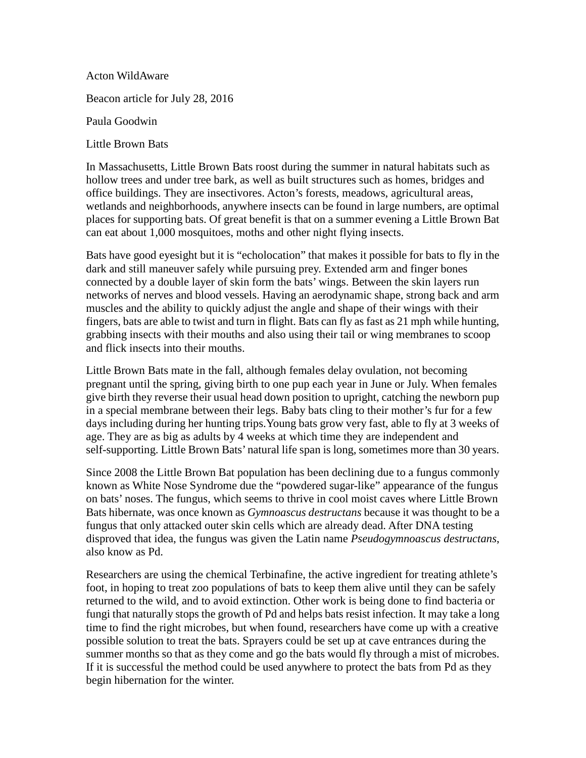Acton WildAware

Beacon article for July 28, 2016

Paula Goodwin

Little Brown Bats

In Massachusetts, Little Brown Bats roost during the summer in natural habitats such as hollow trees and under tree bark, as well as built structures such as homes, bridges and office buildings. They are insectivores. Acton's forests, meadows, agricultural areas, wetlands and neighborhoods, anywhere insects can be found in large numbers, are optimal places for supporting bats. Of great benefit is that on a summer evening a Little Brown Bat can eat about 1,000 mosquitoes, moths and other night flying insects.

Bats have good eyesight but it is "echolocation" that makes it possible for bats to fly in the dark and still maneuver safely while pursuing prey. Extended arm and finger bones connected by a double layer of skin form the bats' wings. Between the skin layers run networks of nerves and blood vessels. Having an aerodynamic shape, strong back and arm muscles and the ability to quickly adjust the angle and shape of their wings with their fingers, bats are able to twist and turn in flight. Bats can fly as fast as 21 mph while hunting, grabbing insects with their mouths and also using their tail or wing membranes to scoop and flick insects into their mouths.

Little Brown Bats mate in the fall, although females delay ovulation, not becoming pregnant until the spring, giving birth to one pup each year in June or July. When females give birth they reverse their usual head down position to upright, catching the newborn pup in a special membrane between their legs. Baby bats cling to their mother's fur for a few days including during her hunting trips.Young bats grow very fast, able to fly at 3 weeks of age. They are as big as adults by 4 weeks at which time they are independent and self-supporting. Little Brown Bats' natural life span is long, sometimes more than 30 years.

Since 2008 the Little Brown Bat population has been declining due to a fungus commonly known as White Nose Syndrome due the "powdered sugar-like" appearance of the fungus on bats' noses. The fungus, which seems to thrive in cool moist caves where Little Brown Bats hibernate, was once known as *Gymnoascus destructans* because it was thought to be a fungus that only attacked outer skin cells which are already dead. After DNA testing disproved that idea, the fungus was given the Latin name *Pseudogymnoascus destructans*, also know as Pd.

Researchers are using the chemical Terbinafine, the active ingredient for treating athlete's foot, in hoping to treat zoo populations of bats to keep them alive until they can be safely returned to the wild, and to avoid extinction. Other work is being done to find bacteria or fungi that naturally stops the growth of Pd and helps bats resist infection. It may take a long time to find the right microbes, but when found, researchers have come up with a creative possible solution to treat the bats. Sprayers could be set up at cave entrances during the summer months so that as they come and go the bats would fly through a mist of microbes. If it is successful the method could be used anywhere to protect the bats from Pd as they begin hibernation for the winter.